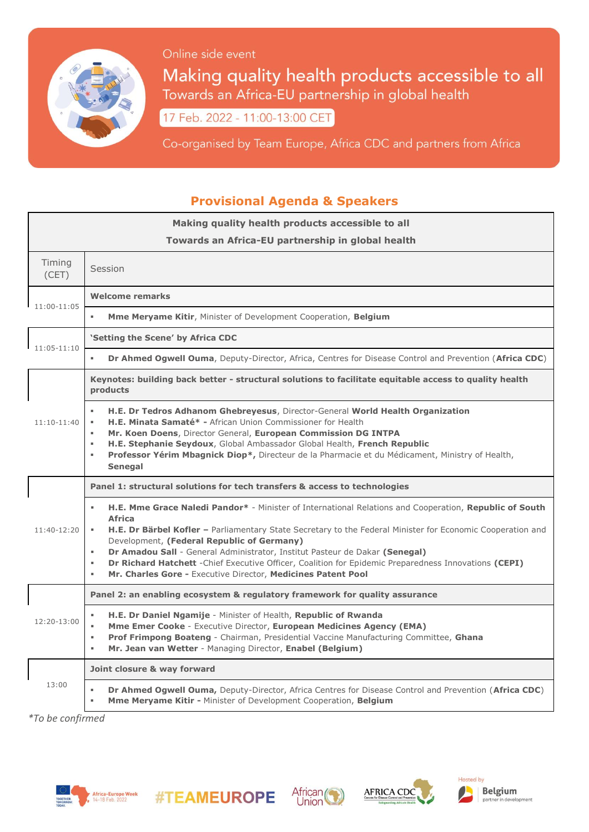

Online side event

Making quality health products accessible to all Towards an Africa-EU partnership in global health

17 Feb. 2022 - 11:00-13:00 CET

Co-organised by Team Europe, Africa CDC and partners from Africa

## **Provisional Agenda & Speakers**

| Making quality health products accessible to all<br>Towards an Africa-EU partnership in global health |                                                                                                                                                                                                                                                                                                                                                                                                                                                                                                                                                                                         |
|-------------------------------------------------------------------------------------------------------|-----------------------------------------------------------------------------------------------------------------------------------------------------------------------------------------------------------------------------------------------------------------------------------------------------------------------------------------------------------------------------------------------------------------------------------------------------------------------------------------------------------------------------------------------------------------------------------------|
| Timing<br>(CET)                                                                                       | Session                                                                                                                                                                                                                                                                                                                                                                                                                                                                                                                                                                                 |
| 11:00-11:05                                                                                           | Welcome remarks                                                                                                                                                                                                                                                                                                                                                                                                                                                                                                                                                                         |
|                                                                                                       | Mme Meryame Kitir, Minister of Development Cooperation, Belgium                                                                                                                                                                                                                                                                                                                                                                                                                                                                                                                         |
| $11:05-11:10$                                                                                         | 'Setting the Scene' by Africa CDC                                                                                                                                                                                                                                                                                                                                                                                                                                                                                                                                                       |
|                                                                                                       | Dr Ahmed Ogwell Ouma, Deputy-Director, Africa, Centres for Disease Control and Prevention (Africa CDC)                                                                                                                                                                                                                                                                                                                                                                                                                                                                                  |
| $11:10-11:40$                                                                                         | Keynotes: building back better - structural solutions to facilitate equitable access to quality health<br>products                                                                                                                                                                                                                                                                                                                                                                                                                                                                      |
|                                                                                                       | H.E. Dr Tedros Adhanom Ghebreyesus, Director-General World Health Organization<br>H.E. Minata Samaté* - African Union Commissioner for Health<br>ж.<br>Mr. Koen Doens, Director General, European Commission DG INTPA<br>٠<br>H.E. Stephanie Seydoux, Global Ambassador Global Health, French Republic<br>$\alpha$<br>Professor Yérim Mbagnick Diop*, Directeur de la Pharmacie et du Médicament, Ministry of Health,<br>$\alpha$<br>Senegal                                                                                                                                            |
| 11:40-12:20                                                                                           | Panel 1: structural solutions for tech transfers & access to technologies                                                                                                                                                                                                                                                                                                                                                                                                                                                                                                               |
|                                                                                                       | H.E. Mme Grace Naledi Pandor* - Minister of International Relations and Cooperation, Republic of South<br>$\mathbf{u}$<br><b>Africa</b><br>H.E. Dr Bärbel Kofler - Parliamentary State Secretary to the Federal Minister for Economic Cooperation and<br>٠<br>Development, (Federal Republic of Germany)<br>Dr Amadou Sall - General Administrator, Institut Pasteur de Dakar (Senegal)<br>٠<br>Dr Richard Hatchett - Chief Executive Officer, Coalition for Epidemic Preparedness Innovations (CEPI)<br>$\blacksquare$<br>Mr. Charles Gore - Executive Director, Medicines Patent Pool |
| $12:20-13:00$                                                                                         | Panel 2: an enabling ecosystem & regulatory framework for quality assurance                                                                                                                                                                                                                                                                                                                                                                                                                                                                                                             |
|                                                                                                       | H.E. Dr Daniel Ngamije - Minister of Health, Republic of Rwanda<br>Mme Emer Cooke - Executive Director, European Medicines Agency (EMA)<br>×.<br><b>Prof Frimpong Boateng</b> - Chairman, Presidential Vaccine Manufacturing Committee, Ghana<br>٠<br>Mr. Jean van Wetter - Managing Director, Enabel (Belgium)<br>٠                                                                                                                                                                                                                                                                    |
| 13:00                                                                                                 | Joint closure & way forward                                                                                                                                                                                                                                                                                                                                                                                                                                                                                                                                                             |
|                                                                                                       | Dr Ahmed Ogwell Ouma, Deputy-Director, Africa Centres for Disease Control and Prevention (Africa CDC)<br><b>Mme Meryame Kitir - Minister of Development Cooperation, Belgium</b><br>٠                                                                                                                                                                                                                                                                                                                                                                                                   |

*\*To be confirmed*